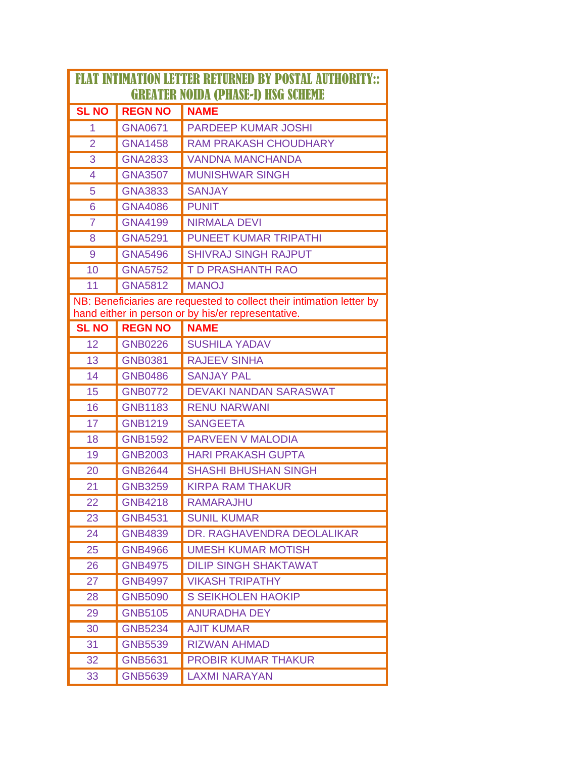| <b>FLAT INTIMATION LETTER RETURNED BY POSTAL AUTHORITY::</b>          |                |                                                    |  |  |
|-----------------------------------------------------------------------|----------------|----------------------------------------------------|--|--|
| <b>GREATER NOIDA (PHASE-I) HSG SCHEME</b>                             |                |                                                    |  |  |
| <b>SL NO</b>                                                          | <b>REGN NO</b> | <b>NAME</b>                                        |  |  |
| 1                                                                     | <b>GNA0671</b> | <b>PARDEEP KUMAR JOSHI</b>                         |  |  |
| $\overline{2}$                                                        | <b>GNA1458</b> | <b>RAM PRAKASH CHOUDHARY</b>                       |  |  |
| 3                                                                     | <b>GNA2833</b> | <b>VANDNA MANCHANDA</b>                            |  |  |
| 4                                                                     | <b>GNA3507</b> | <b>MUNISHWAR SINGH</b>                             |  |  |
| 5                                                                     | <b>GNA3833</b> | <b>SANJAY</b>                                      |  |  |
| 6                                                                     | <b>GNA4086</b> | <b>PUNIT</b>                                       |  |  |
| $\overline{7}$                                                        | <b>GNA4199</b> | <b>NIRMALA DEVI</b>                                |  |  |
| 8                                                                     | <b>GNA5291</b> | <b>PUNEET KUMAR TRIPATHI</b>                       |  |  |
| 9                                                                     | <b>GNA5496</b> | <b>SHIVRAJ SINGH RAJPUT</b>                        |  |  |
| 10                                                                    | <b>GNA5752</b> | <b>T D PRASHANTH RAO</b>                           |  |  |
| 11                                                                    | <b>GNA5812</b> | <b>MANOJ</b>                                       |  |  |
| NB: Beneficiaries are requested to collect their intimation letter by |                |                                                    |  |  |
|                                                                       |                | hand either in person or by his/er representative. |  |  |
| <b>SL NO</b>                                                          | <b>REGN NO</b> | <b>NAME</b>                                        |  |  |
| 12                                                                    | <b>GNB0226</b> | <b>SUSHILA YADAV</b>                               |  |  |
| 13                                                                    | <b>GNB0381</b> | <b>RAJEEV SINHA</b>                                |  |  |
| 14                                                                    | <b>GNB0486</b> | <b>SANJAY PAL</b>                                  |  |  |
| 15                                                                    | <b>GNB0772</b> | <b>DEVAKI NANDAN SARASWAT</b>                      |  |  |
| 16                                                                    | <b>GNB1183</b> | <b>RENU NARWANI</b>                                |  |  |
| 17                                                                    | <b>GNB1219</b> | <b>SANGEETA</b>                                    |  |  |
| 18                                                                    | <b>GNB1592</b> | <b>PARVEEN V MALODIA</b>                           |  |  |
| 19                                                                    | <b>GNB2003</b> | <b>HARI PRAKASH GUPTA</b>                          |  |  |
| 20                                                                    | <b>GNB2644</b> | <b>SHASHI BHUSHAN SINGH</b>                        |  |  |
| 21                                                                    | <b>GNB3259</b> | <b>KIRPA RAM THAKUR</b>                            |  |  |
| 22                                                                    | <b>GNB4218</b> | RAMARAJHU                                          |  |  |
| 23                                                                    | <b>GNB4531</b> | <b>SUNIL KUMAR</b>                                 |  |  |
| 24                                                                    | <b>GNB4839</b> | DR. RAGHAVENDRA DEOLALIKAR                         |  |  |
| 25                                                                    | <b>GNB4966</b> | <b>UMESH KUMAR MOTISH</b>                          |  |  |
| 26                                                                    | <b>GNB4975</b> | <b>DILIP SINGH SHAKTAWAT</b>                       |  |  |
| 27                                                                    | <b>GNB4997</b> | <b>VIKASH TRIPATHY</b>                             |  |  |
| 28                                                                    | <b>GNB5090</b> | <b>S SEIKHOLEN HAOKIP</b>                          |  |  |
| 29                                                                    | <b>GNB5105</b> | <b>ANURADHA DEY</b>                                |  |  |
| 30                                                                    | <b>GNB5234</b> | <b>AJIT KUMAR</b>                                  |  |  |
| 31                                                                    | <b>GNB5539</b> | <b>RIZWAN AHMAD</b>                                |  |  |
| 32                                                                    | <b>GNB5631</b> | <b>PROBIR KUMAR THAKUR</b>                         |  |  |
| 33                                                                    | <b>GNB5639</b> | <b>LAXMI NARAYAN</b>                               |  |  |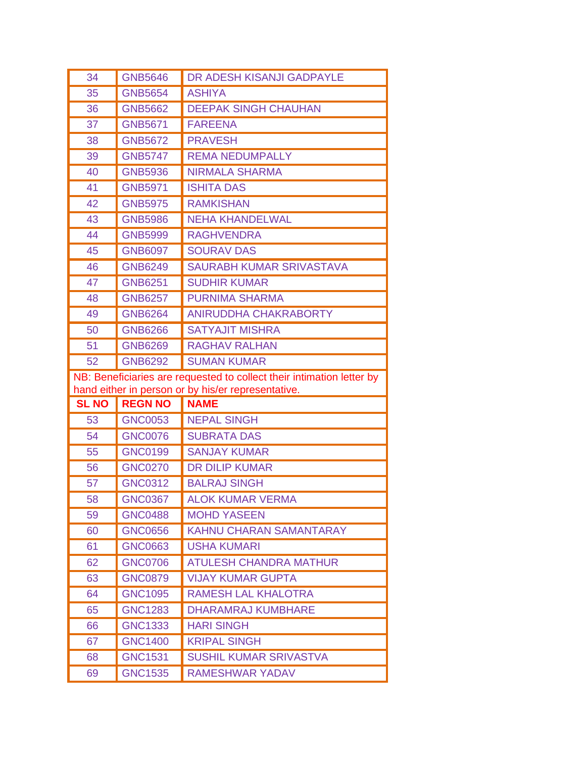| 34                                                                    | <b>GNB5646</b>                   | DR ADESH KISANJI GADPAYLE                               |  |  |
|-----------------------------------------------------------------------|----------------------------------|---------------------------------------------------------|--|--|
| 35                                                                    | <b>GNB5654</b>                   | <b>ASHIYA</b>                                           |  |  |
| 36                                                                    | <b>GNB5662</b>                   | <b>DEEPAK SINGH CHAUHAN</b>                             |  |  |
| 37                                                                    | <b>GNB5671</b>                   | <b>FAREENA</b>                                          |  |  |
| 38                                                                    | <b>GNB5672</b>                   | <b>PRAVESH</b>                                          |  |  |
| 39                                                                    | <b>GNB5747</b>                   | <b>REMA NEDUMPALLY</b>                                  |  |  |
| 40                                                                    | <b>GNB5936</b>                   | <b>NIRMALA SHARMA</b>                                   |  |  |
| 41                                                                    | <b>GNB5971</b>                   | <b>ISHITA DAS</b>                                       |  |  |
| 42                                                                    | <b>GNB5975</b>                   | <b>RAMKISHAN</b>                                        |  |  |
| 43                                                                    | <b>GNB5986</b>                   | <b>NEHA KHANDELWAL</b>                                  |  |  |
| 44                                                                    | <b>GNB5999</b>                   | <b>RAGHVENDRA</b>                                       |  |  |
| 45                                                                    | <b>GNB6097</b>                   | <b>SOURAV DAS</b>                                       |  |  |
| 46                                                                    | <b>GNB6249</b>                   | SAURABH KUMAR SRIVASTAVA                                |  |  |
| 47                                                                    | <b>GNB6251</b>                   | <b>SUDHIR KUMAR</b>                                     |  |  |
| 48                                                                    | <b>GNB6257</b>                   | <b>PURNIMA SHARMA</b>                                   |  |  |
| 49                                                                    | <b>GNB6264</b>                   | <b>ANIRUDDHA CHAKRABORTY</b>                            |  |  |
| 50                                                                    | <b>GNB6266</b>                   | <b>SATYAJIT MISHRA</b>                                  |  |  |
| 51                                                                    | <b>GNB6269</b>                   | <b>RAGHAV RALHAN</b>                                    |  |  |
| 52                                                                    | <b>GNB6292</b>                   | <b>SUMAN KUMAR</b>                                      |  |  |
| NB: Beneficiaries are requested to collect their intimation letter by |                                  |                                                         |  |  |
|                                                                       |                                  |                                                         |  |  |
|                                                                       |                                  | hand either in person or by his/er representative.      |  |  |
| <b>SL NO</b>                                                          | <b>REGN NO</b>                   | <b>NAME</b>                                             |  |  |
| 53                                                                    | <b>GNC0053</b>                   | <b>NEPAL SINGH</b>                                      |  |  |
| 54                                                                    | <b>GNC0076</b>                   | <b>SUBRATA DAS</b>                                      |  |  |
| 55                                                                    | <b>GNC0199</b>                   | <b>SANJAY KUMAR</b>                                     |  |  |
| 56                                                                    | <b>GNC0270</b>                   | <b>DR DILIP KUMAR</b>                                   |  |  |
| 57                                                                    | <b>GNC0312</b>                   | <b>BALRAJ SINGH</b>                                     |  |  |
| 58                                                                    | <b>GNC0367</b>                   | <b>ALOK KUMAR VERMA</b>                                 |  |  |
| 59                                                                    | <b>GNC0488</b>                   | <b>MOHD YASEEN</b>                                      |  |  |
| 60                                                                    | <b>GNC0656</b>                   | <b>KAHNU CHARAN SAMANTARAY</b>                          |  |  |
| 61                                                                    | <b>GNC0663</b>                   | <b>USHA KUMARI</b>                                      |  |  |
| 62                                                                    | <b>GNC0706</b>                   | <b>ATULESH CHANDRA MATHUR</b>                           |  |  |
| 63                                                                    | <b>GNC0879</b>                   | <b>VIJAY KUMAR GUPTA</b>                                |  |  |
| 64                                                                    | <b>GNC1095</b>                   | <b>RAMESH LAL KHALOTRA</b>                              |  |  |
| 65                                                                    | <b>GNC1283</b>                   | <b>DHARAMRAJ KUMBHARE</b>                               |  |  |
| 66                                                                    | <b>GNC1333</b>                   | <b>HARI SINGH</b>                                       |  |  |
| 67                                                                    | <b>GNC1400</b>                   | <b>KRIPAL SINGH</b>                                     |  |  |
| 68<br>69                                                              | <b>GNC1531</b><br><b>GNC1535</b> | <b>SUSHIL KUMAR SRIVASTVA</b><br><b>RAMESHWAR YADAV</b> |  |  |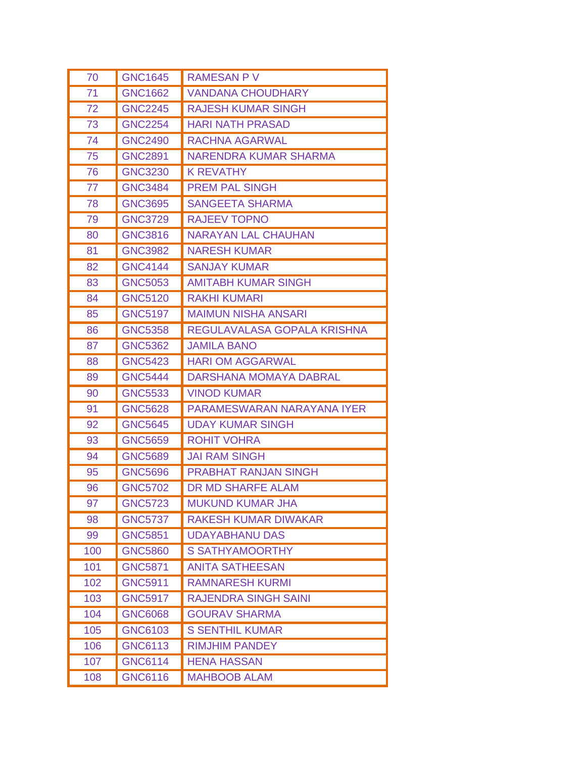| 70  | <b>GNC1645</b> | <b>RAMESAN PV</b>             |
|-----|----------------|-------------------------------|
| 71  | <b>GNC1662</b> | <b>VANDANA CHOUDHARY</b>      |
| 72  | <b>GNC2245</b> | <b>RAJESH KUMAR SINGH</b>     |
| 73  | <b>GNC2254</b> | <b>HARI NATH PRASAD</b>       |
| 74  | <b>GNC2490</b> | <b>RACHNA AGARWAL</b>         |
| 75  | <b>GNC2891</b> | <b>NARENDRA KUMAR SHARMA</b>  |
| 76  | <b>GNC3230</b> | <b>K REVATHY</b>              |
| 77  | <b>GNC3484</b> | <b>PREM PAL SINGH</b>         |
| 78  | <b>GNC3695</b> | <b>SANGEETA SHARMA</b>        |
| 79  | <b>GNC3729</b> | <b>RAJEEV TOPNO</b>           |
| 80  | <b>GNC3816</b> | <b>NARAYAN LAL CHAUHAN</b>    |
| 81  | <b>GNC3982</b> | <b>NARESH KUMAR</b>           |
| 82  | <b>GNC4144</b> | <b>SANJAY KUMAR</b>           |
| 83  | <b>GNC5053</b> | <b>AMITABH KUMAR SINGH</b>    |
| 84  | <b>GNC5120</b> | <b>RAKHI KUMARI</b>           |
| 85  | <b>GNC5197</b> | <b>MAIMUN NISHA ANSARI</b>    |
| 86  | <b>GNC5358</b> | REGULAVALASA GOPALA KRISHNA   |
| 87  | <b>GNC5362</b> | <b>JAMILA BANO</b>            |
| 88  | <b>GNC5423</b> | <b>HARI OM AGGARWAL</b>       |
| 89  | <b>GNC5444</b> | <b>DARSHANA MOMAYA DABRAL</b> |
| 90  | <b>GNC5533</b> | <b>VINOD KUMAR</b>            |
| 91  | <b>GNC5628</b> | PARAMESWARAN NARAYANA IYER    |
| 92  | <b>GNC5645</b> | <b>UDAY KUMAR SINGH</b>       |
| 93  | <b>GNC5659</b> | <b>ROHIT VOHRA</b>            |
| 94  | <b>GNC5689</b> | <b>JAI RAM SINGH</b>          |
| 95  | <b>GNC5696</b> | <b>PRABHAT RANJAN SINGH</b>   |
| 96  | <b>GNC5702</b> | <b>DR MD SHARFE ALAM</b>      |
| 97  | <b>GNC5723</b> | <b>MUKUND KUMAR JHA</b>       |
| 98  | <b>GNC5737</b> | <b>RAKESH KUMAR DIWAKAR</b>   |
| 99  | <b>GNC5851</b> | <b>UDAYABHANU DAS</b>         |
| 100 | <b>GNC5860</b> | <b>S SATHYAMOORTHY</b>        |
| 101 | <b>GNC5871</b> | <b>ANITA SATHEESAN</b>        |
| 102 | <b>GNC5911</b> | <b>RAMNARESH KURMI</b>        |
| 103 | <b>GNC5917</b> | <b>RAJENDRA SINGH SAINI</b>   |
| 104 | <b>GNC6068</b> | <b>GOURAV SHARMA</b>          |
| 105 | <b>GNC6103</b> | <b>S SENTHIL KUMAR</b>        |
| 106 | <b>GNC6113</b> | <b>RIMJHIM PANDEY</b>         |
| 107 | <b>GNC6114</b> | <b>HENA HASSAN</b>            |
| 108 | <b>GNC6116</b> | <b>MAHBOOB ALAM</b>           |